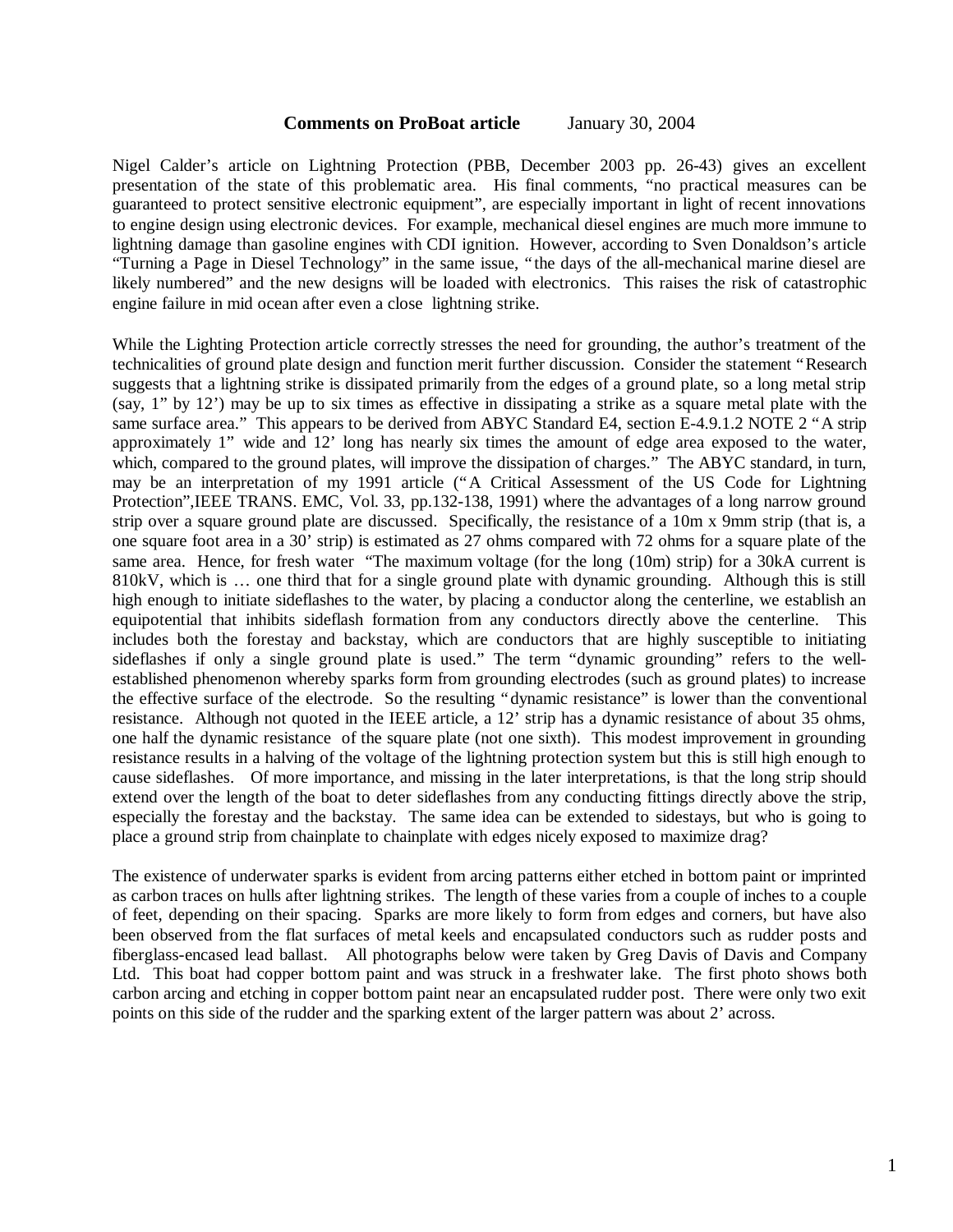## **Comments on ProBoat article** January 30, 2004

Nigel Calder's article on Lightning Protection (PBB, December 2003 pp. 26-43) gives an excellent presentation of the state of this problematic area. His final comments, "no practical measures can be guaranteed to protect sensitive electronic equipment", are especially important in light of recent innovations to engine design using electronic devices. For example, mechanical diesel engines are much more immune to lightning damage than gasoline engines with CDI ignition. However, according to Sven Donaldson's article "Turning a Page in Diesel Technology" in the same issue, "the days of the all-mechanical marine diesel are likely numbered" and the new designs will be loaded with electronics. This raises the risk of catastrophic engine failure in mid ocean after even a close lightning strike.

While the Lighting Protection article correctly stresses the need for grounding, the author's treatment of the technicalities of ground plate design and function merit further discussion. Consider the statement "Research suggests that a lightning strike is dissipated primarily from the edges of a ground plate, so a long metal strip (say, 1" by 12') may be up to six times as effective in dissipating a strike as a square metal plate with the same surface area." This appears to be derived from ABYC Standard E4, section E-4.9.1.2 NOTE 2 "A strip approximately 1" wide and 12' long has nearly six times the amount of edge area exposed to the water, which, compared to the ground plates, will improve the dissipation of charges." The ABYC standard, in turn, may be an interpretation of my 1991 article ("A Critical Assessment of the US Code for Lightning Protection",IEEE TRANS. EMC, Vol. 33, pp.132-138, 1991) where the advantages of a long narrow ground strip over a square ground plate are discussed. Specifically, the resistance of a 10m x 9mm strip (that is, a one square foot area in a 30' strip) is estimated as 27 ohms compared with 72 ohms for a square plate of the same area. Hence, for fresh water "The maximum voltage (for the long (10m) strip) for a 30kA current is 810kV, which is … one third that for a single ground plate with dynamic grounding. Although this is still high enough to initiate sideflashes to the water, by placing a conductor along the centerline, we establish an equipotential that inhibits sideflash formation from any conductors directly above the centerline. This includes both the forestay and backstay, which are conductors that are highly susceptible to initiating sideflashes if only a single ground plate is used." The term "dynamic grounding" refers to the wellestablished phenomenon whereby sparks form from grounding electrodes (such as ground plates) to increase the effective surface of the electrode. So the resulting "dynamic resistance" is lower than the conventional resistance. Although not quoted in the IEEE article, a 12' strip has a dynamic resistance of about 35 ohms, one half the dynamic resistance of the square plate (not one sixth). This modest improvement in grounding resistance results in a halving of the voltage of the lightning protection system but this is still high enough to cause sideflashes. Of more importance, and missing in the later interpretations, is that the long strip should extend over the length of the boat to deter sideflashes from any conducting fittings directly above the strip, especially the forestay and the backstay. The same idea can be extended to sidestays, but who is going to place a ground strip from chainplate to chainplate with edges nicely exposed to maximize drag?

The existence of underwater sparks is evident from arcing patterns either etched in bottom paint or imprinted as carbon traces on hulls after lightning strikes. The length of these varies from a couple of inches to a couple of feet, depending on their spacing. Sparks are more likely to form from edges and corners, but have also been observed from the flat surfaces of metal keels and encapsulated conductors such as rudder posts and fiberglass-encased lead ballast. All photographs below were taken by Greg Davis of Davis and Company Ltd. This boat had copper bottom paint and was struck in a freshwater lake. The first photo shows both carbon arcing and etching in copper bottom paint near an encapsulated rudder post. There were only two exit points on this side of the rudder and the sparking extent of the larger pattern was about 2' across.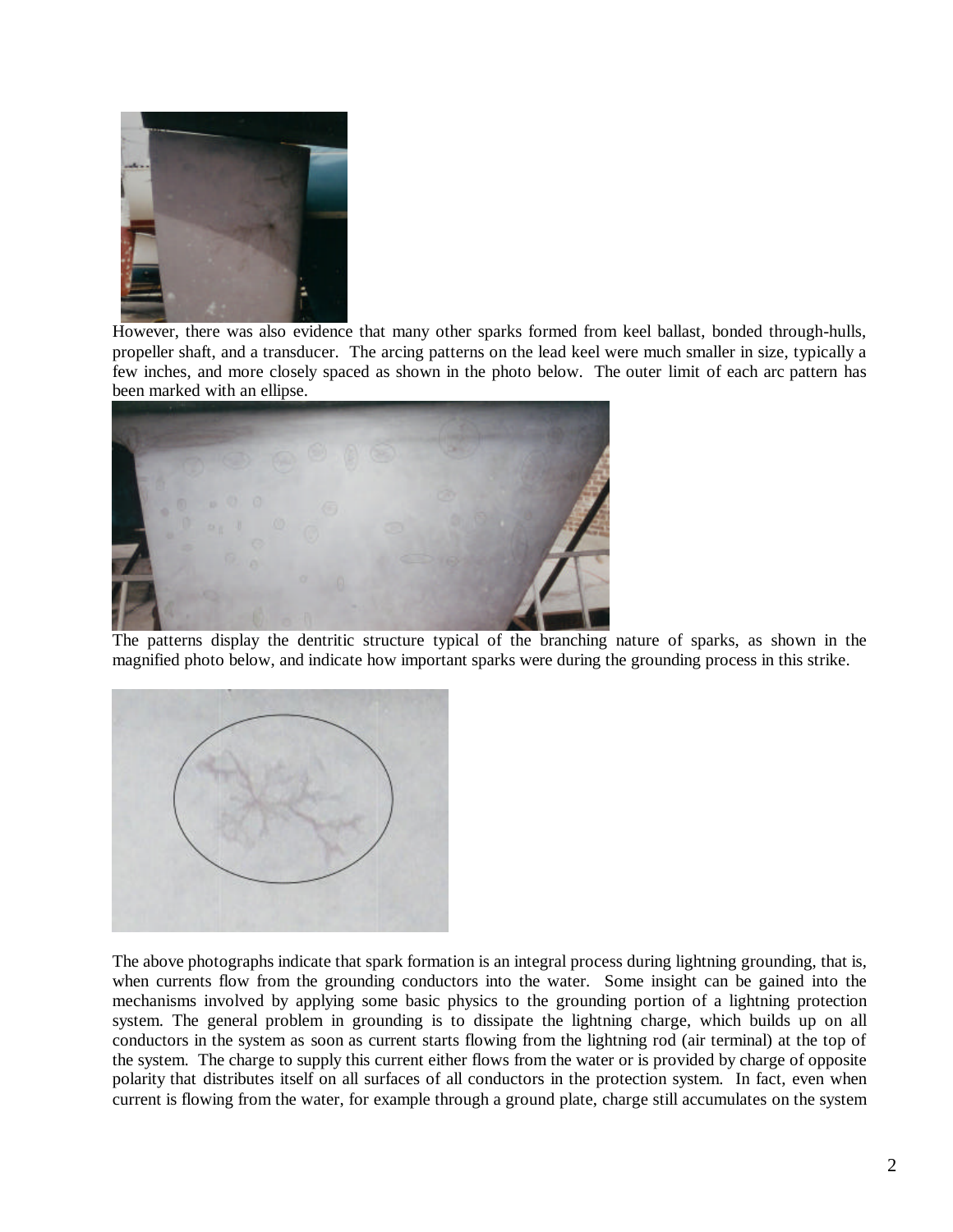

However, there was also evidence that many other sparks formed from keel ballast, bonded through-hulls, propeller shaft, and a transducer. The arcing patterns on the lead keel were much smaller in size, typically a few inches, and more closely spaced as shown in the photo below. The outer limit of each arc pattern has been marked with an ellipse.



The patterns display the dentritic structure typical of the branching nature of sparks, as shown in the magnified photo below, and indicate how important sparks were during the grounding process in this strike.



The above photographs indicate that spark formation is an integral process during lightning grounding, that is, when currents flow from the grounding conductors into the water. Some insight can be gained into the mechanisms involved by applying some basic physics to the grounding portion of a lightning protection system. The general problem in grounding is to dissipate the lightning charge, which builds up on all conductors in the system as soon as current starts flowing from the lightning rod (air terminal) at the top of the system. The charge to supply this current either flows from the water or is provided by charge of opposite polarity that distributes itself on all surfaces of all conductors in the protection system. In fact, even when current is flowing from the water, for example through a ground plate, charge still accumulates on the system